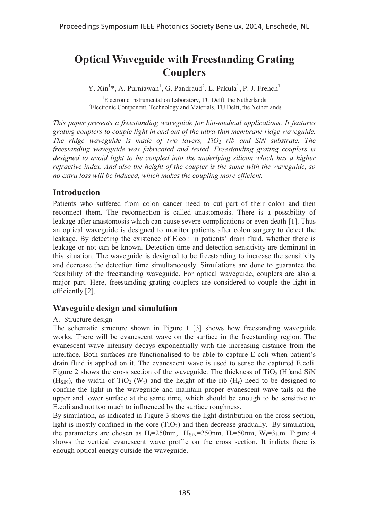# **Optical Waveguide with Freestanding Grating Couplers**

Y. Xin<sup>1</sup>\*, A. Purniawan<sup>1</sup>, G. Pandraud<sup>2</sup>, L. Pakula<sup>1</sup>, P. J. French<sup>1</sup>

<sup>1</sup>Electronic Instrumentation Laboratory, TU Delft, the Netherlands<sup>2</sup>Electronic Component, Technology and Meterials, TU Delft, the Netherlands Electronic Component, Technology and Materials, TU Delft, the Netherlands

*This paper presents a freestanding waveguide for bio-medical applications. It features grating couplers to couple light in and out of the ultra-thin membrane ridge waveguide. The ridge waveguide is made of two layers, TiO<sub>2</sub> rib and SiN substrate. The freestanding waveguide was fabricated and tested. Freestanding grating couplers is*  designed to avoid light to be coupled into the underlying silicon which has a higher *refractive index. And also the height of the coupler is the same with the waveguide, so no extra loss will be induced, which makes the coupling more efficient.* 

# **Introduction**

Patients who suffered from colon cancer need to cut part of their colon and then reconnect them. The reconnection is called anastomosis. There is a possibility of leakage after anastomosis which can cause severe complications or even death [1]. Thus an optical waveguide is designed to monitor patients after colon surgery to detect the leakage. By detecting the existence of E.coli in patients' drain fluid, whether there is leakage or not can be known. Detection time and detection sensitivity are dominant in this situation. The waveguide is designed to be freestanding to increase the sensitivity and decrease the detection time simultaneously. Simulations are done to guarantee the feasibility of the freestanding waveguide. For optical waveguide, couplers are also a major part. Here, freestanding grating couplers are considered to couple the light in efficiently [2].

# **Waveguide design and simulation**

#### A. Structure design

The schematic structure shown in Figure 1 [3] shows how freestanding waveguide works. There will be evanescent wave on the surface in the freestanding region. The evanescent wave intensity decays exponentially with the increasing distance from the interface. Both surfaces are functionalised to be able to capture E-coli when patient's drain fluid is applied on it. The evanescent wave is used to sense the captured E.coli. Figure 2 shows the cross section of the waveguide. The thickness of  $TiO<sub>2</sub> (H<sub>t</sub>)$ and SiN  $(H_{\text{siN}})$ , the width of TiO<sub>2</sub> (W<sub>t</sub>) and the height of the rib (H<sub>r</sub>) need to be designed to confine the light in the waveguide and maintain proper evanescent wave tails on the upper and lower surface at the same time, which should be enough to be sensitive to E.coli and not too much to influenced by the surface roughness.

By simulation, as indicated in Figure 3 shows the light distribution on the cross section, light is mostly confined in the core  $(TiO<sub>2</sub>)$  and then decrease gradually. By simulation, the parameters are chosen as  $H_f = 250$ nm,  $H_{SiN} = 250$ nm,  $H_f = 50$ nm,  $W_f = 3\mu$ m. Figure 4 shows the vertical evanescent wave profile on the cross section. It indicts there is enough optical energy outside the waveguide.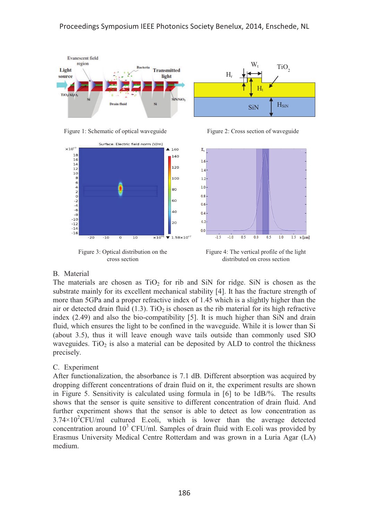







Figure 3: Optical distribution on the cross section



Figure 4: The vertical profile of the light distributed on cross section

#### B. Material

The materials are chosen as  $TiO<sub>2</sub>$  for rib and SiN for ridge. SiN is chosen as the substrate mainly for its excellent mechanical stability [4]. It has the fracture strength of more than 5GPa and a proper refractive index of 1.45 which is a slightly higher than the air or detected drain fluid (1.3). TiO<sub>2</sub> is chosen as the rib material for its high refractive index (2.49) and also the bio-compatibility [5]. It is much higher than SiN and drain fluid, which ensures the light to be confined in the waveguide. While it is lower than Si (about 3.5), thus it will leave enough wave tails outside than commonly used SIO waveguides. TiO<sub>2</sub> is also a material can be deposited by ALD to control the thickness precisely.

#### C. Experiment

After functionalization, the absorbance is 7.1 dB. Different absorption was acquired by dropping different concentrations of drain fluid on it, the experiment results are shown in Figure 5. Sensitivity is calculated using formula in [6] to be 1dB/%. The results shows that the sensor is quite sensitive to different concentration of drain fluid. And further experiment shows that the sensor is able to detect as low concentration as  $3.74 \times 10^{2}$ CFU/ml cultured E.coli, which is lower than the average detected concentration around  $10<sup>3</sup>$  CFU/ml. Samples of drain fluid with E.coli was provided by Erasmus University Medical Centre Rotterdam and was grown in a Luria Agar (LA) medium.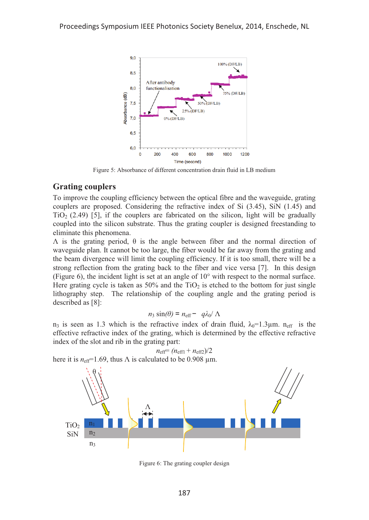

Figure 5: Absorbance of different concentration drain fluid in LB medium

## **Grating couplers**

To improve the coupling efficiency between the optical fibre and the waveguide, grating couplers are proposed. Considering the refractive index of Si (3.45), SiN (1.45) and  $TiO<sub>2</sub>$  (2.49) [5], if the couplers are fabricated on the silicon, light will be gradually coupled into the silicon substrate. Thus the grating coupler is designed freestanding to eliminate this phenomena.

 $Λ$  is the grating period,  $θ$  is the angle between fiber and the normal direction of waveguide plan. It cannot be too large, the fiber would be far away from the grating and the beam divergence will limit the coupling efficiency. If it is too small, there will be a strong reflection from the grating back to the fiber and vice versa [7]. In this design (Figure 6), the incident light is set at an angle of 10° with respect to the normal surface. Here grating cycle is taken as  $50\%$  and the TiO<sub>2</sub> is etched to the bottom for just single lithography step. The relationship of the coupling angle and the grating period is described as [8]:

$$
n_3 \sin(\theta) = n_{\text{eff}} - q\lambda_0 / \Lambda
$$

 $n_3$  is seen as 1.3 which is the refractive index of drain fluid, λ<sub>0</sub>=1.3μm. n<sub>eff</sub> is the effective refractive index of the grating, which is determined by the effective refractive index of the slot and rib in the grating part:



 $n_{\text{eff}} = (n_{\text{eff1}} + n_{\text{eff2}})/2$ here it is  $n_{\text{eff}}$ =1.69, thus  $\Lambda$  is calculated to be 0.908 µm.

Figure 6: The grating coupler design